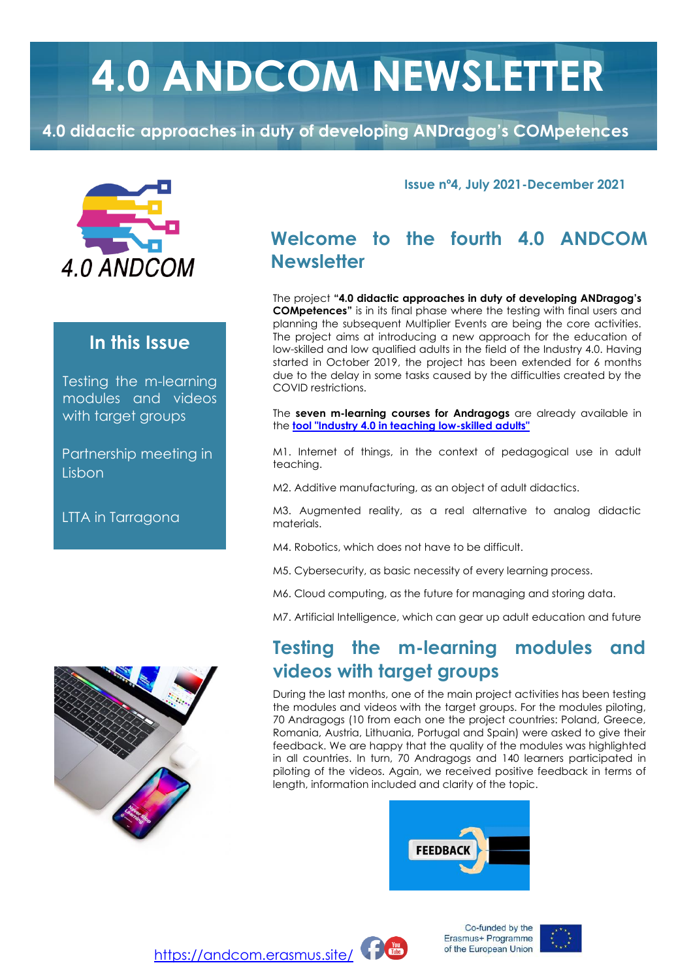# **4.0 ANDCOM NEWSLETTER**

**4.0 didactic approaches in duty of developing ANDragog's COMpetences**



#### **In this Issue**

Testing the m-learning modules and videos with target groups

Partnership meeting in **Lisbon** 

LTTA in Tarragona



**Issue nº4, July 2021-December 2021**

# **Welcome to the fourth 4.0 ANDCOM Newsletter**

The project **"4.0 didactic approaches in duty of developing ANDragog's COMpetences"** is in its final phase where the testing with final users and planning the subsequent Multiplier Events are being the core activities. The project aims at introducing a new approach for the education of low-skilled and low qualified adults in the field of the Industry 4.0. Having started in October 2019, the project has been extended for 6 months due to the delay in some tasks caused by the difficulties created by the COVID restrictions.

The **seven m-learning courses for Andragogs** are already available in the **[tool "Industry 4.0 in teaching low-skilled adults"](https://andcom.erasmus.site/es/courses/)**

M1. Internet of things, in the context of pedagogical use in adult teaching.

M2. Additive manufacturing, as an object of adult didactics.

M3. Augmented reality, as a real alternative to analog didactic materials.

M4. Robotics, which does not have to be difficult.

M5. Cybersecurity, as basic necessity of every learning process.

M6. Cloud computing, as the future for managing and storing data.

M7. Artificial Intelligence, which can gear up adult education and future

## **Testing the m-learning modules and videos with target groups**

During the last months, one of the main project activities has been testing the modules and videos with the target groups. For the modules piloting, 70 Andragogs (10 from each one the project countries: Poland, Greece, Romania, Austria, Lithuania, Portugal and Spain) were asked to give their feedback. We are happy that the quality of the modules was highlighted in all countries. In turn, 70 Andragogs and 140 learners participated in piloting of the videos. Again, we received positive feedback in terms of length, information included and clarity of the topic.





Co-funded by the Erasmus+ Programme of the European Union